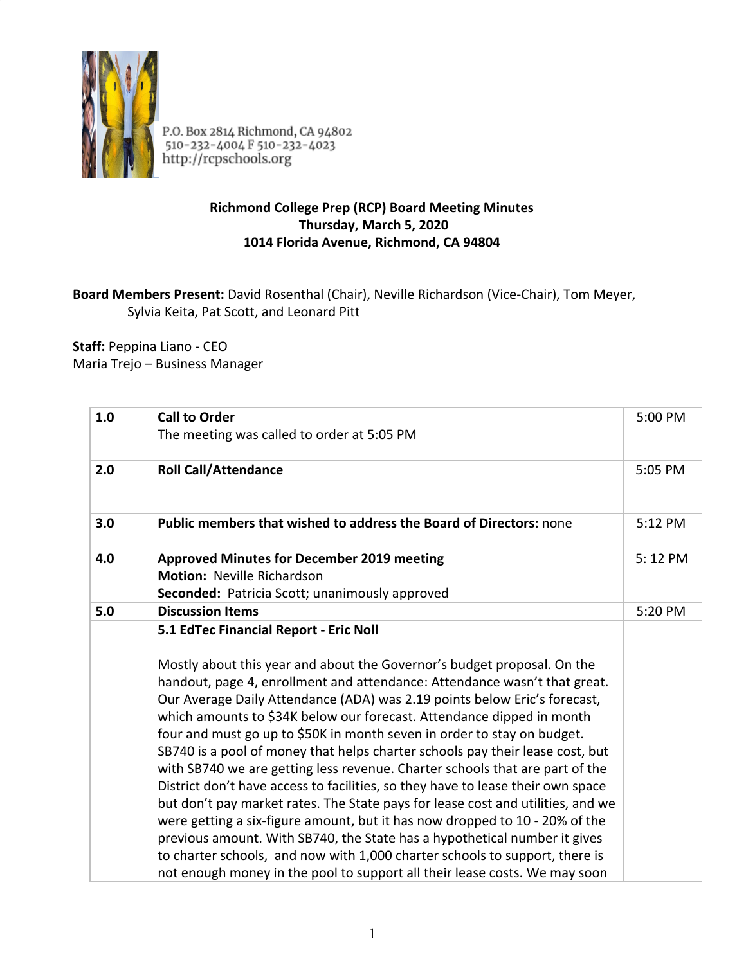

P.O. Box 2814 Richmond, CA 94802<br>510-232-4004 F 510-232-4023<br>http://rcpschools.org

## **Richmond College Prep (RCP) Board Meeting Minutes Thursday, March 5, 2020 1014 Florida Avenue, Richmond, CA 94804**

## **Board Members Present:** David Rosenthal (Chair), Neville Richardson (Vice-Chair), Tom Meyer, Sylvia Keita, Pat Scott, and Leonard Pitt

**Staff:** Peppina Liano - CEO Maria Trejo – Business Manager

| 1.0 | <b>Call to Order</b><br>The meeting was called to order at 5:05 PM                                                                                                                                                                                                                                                                                                                                                                                                                                                                                                                                                                                                                                                                                                                                                                                                                                                                                                                                                                                                                              | 5:00 PM |
|-----|-------------------------------------------------------------------------------------------------------------------------------------------------------------------------------------------------------------------------------------------------------------------------------------------------------------------------------------------------------------------------------------------------------------------------------------------------------------------------------------------------------------------------------------------------------------------------------------------------------------------------------------------------------------------------------------------------------------------------------------------------------------------------------------------------------------------------------------------------------------------------------------------------------------------------------------------------------------------------------------------------------------------------------------------------------------------------------------------------|---------|
| 2.0 | <b>Roll Call/Attendance</b>                                                                                                                                                                                                                                                                                                                                                                                                                                                                                                                                                                                                                                                                                                                                                                                                                                                                                                                                                                                                                                                                     | 5:05 PM |
| 3.0 | Public members that wished to address the Board of Directors: none                                                                                                                                                                                                                                                                                                                                                                                                                                                                                                                                                                                                                                                                                                                                                                                                                                                                                                                                                                                                                              | 5:12 PM |
| 4.0 | <b>Approved Minutes for December 2019 meeting</b><br><b>Motion: Neville Richardson</b><br>Seconded: Patricia Scott; unanimously approved                                                                                                                                                                                                                                                                                                                                                                                                                                                                                                                                                                                                                                                                                                                                                                                                                                                                                                                                                        | 5:12 PM |
| 5.0 | <b>Discussion Items</b>                                                                                                                                                                                                                                                                                                                                                                                                                                                                                                                                                                                                                                                                                                                                                                                                                                                                                                                                                                                                                                                                         | 5:20 PM |
|     | 5.1 EdTec Financial Report - Eric Noll<br>Mostly about this year and about the Governor's budget proposal. On the<br>handout, page 4, enrollment and attendance: Attendance wasn't that great.<br>Our Average Daily Attendance (ADA) was 2.19 points below Eric's forecast,<br>which amounts to \$34K below our forecast. Attendance dipped in month<br>four and must go up to \$50K in month seven in order to stay on budget.<br>SB740 is a pool of money that helps charter schools pay their lease cost, but<br>with SB740 we are getting less revenue. Charter schools that are part of the<br>District don't have access to facilities, so they have to lease their own space<br>but don't pay market rates. The State pays for lease cost and utilities, and we<br>were getting a six-figure amount, but it has now dropped to 10 - 20% of the<br>previous amount. With SB740, the State has a hypothetical number it gives<br>to charter schools, and now with 1,000 charter schools to support, there is<br>not enough money in the pool to support all their lease costs. We may soon |         |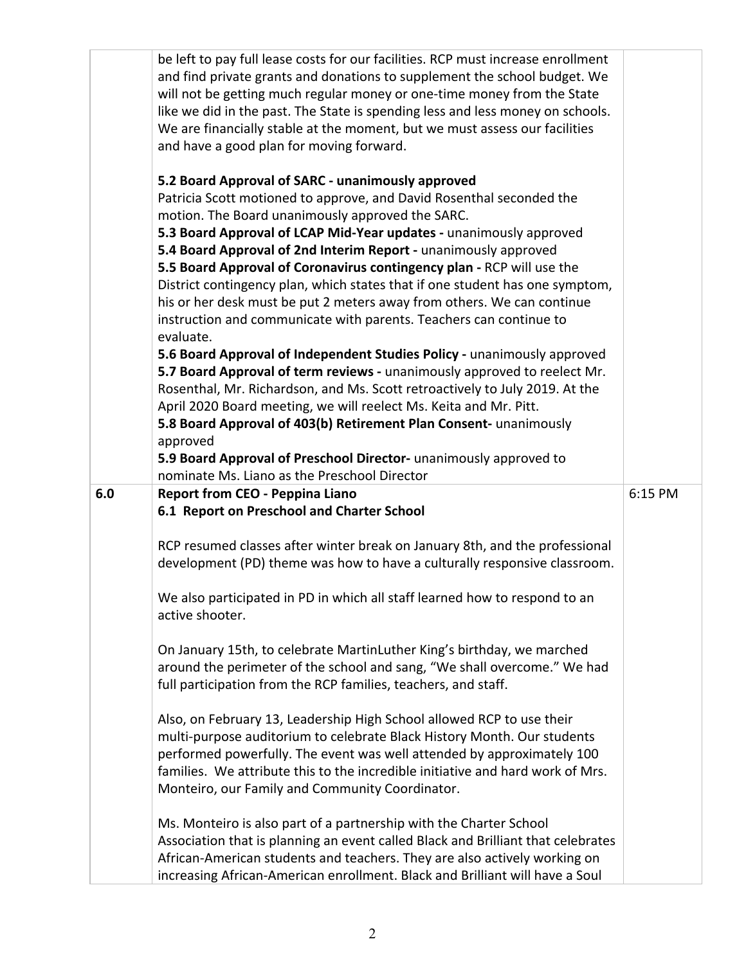|     | be left to pay full lease costs for our facilities. RCP must increase enrollment<br>and find private grants and donations to supplement the school budget. We<br>will not be getting much regular money or one-time money from the State<br>like we did in the past. The State is spending less and less money on schools.<br>We are financially stable at the moment, but we must assess our facilities<br>and have a good plan for moving forward.<br>5.2 Board Approval of SARC - unanimously approved<br>Patricia Scott motioned to approve, and David Rosenthal seconded the<br>motion. The Board unanimously approved the SARC.<br>5.3 Board Approval of LCAP Mid-Year updates - unanimously approved<br>5.4 Board Approval of 2nd Interim Report - unanimously approved<br>5.5 Board Approval of Coronavirus contingency plan - RCP will use the<br>District contingency plan, which states that if one student has one symptom,<br>his or her desk must be put 2 meters away from others. We can continue<br>instruction and communicate with parents. Teachers can continue to<br>evaluate.<br>5.6 Board Approval of Independent Studies Policy - unanimously approved<br>5.7 Board Approval of term reviews - unanimously approved to reelect Mr.<br>Rosenthal, Mr. Richardson, and Ms. Scott retroactively to July 2019. At the<br>April 2020 Board meeting, we will reelect Ms. Keita and Mr. Pitt.<br>5.8 Board Approval of 403(b) Retirement Plan Consent- unanimously<br>approved<br>5.9 Board Approval of Preschool Director- unanimously approved to<br>nominate Ms. Liano as the Preschool Director |         |
|-----|-----------------------------------------------------------------------------------------------------------------------------------------------------------------------------------------------------------------------------------------------------------------------------------------------------------------------------------------------------------------------------------------------------------------------------------------------------------------------------------------------------------------------------------------------------------------------------------------------------------------------------------------------------------------------------------------------------------------------------------------------------------------------------------------------------------------------------------------------------------------------------------------------------------------------------------------------------------------------------------------------------------------------------------------------------------------------------------------------------------------------------------------------------------------------------------------------------------------------------------------------------------------------------------------------------------------------------------------------------------------------------------------------------------------------------------------------------------------------------------------------------------------------------------------------------------------------------------------------------------------------|---------|
| 6.0 | <b>Report from CEO - Peppina Liano</b>                                                                                                                                                                                                                                                                                                                                                                                                                                                                                                                                                                                                                                                                                                                                                                                                                                                                                                                                                                                                                                                                                                                                                                                                                                                                                                                                                                                                                                                                                                                                                                                | 6:15 PM |
|     | 6.1 Report on Preschool and Charter School                                                                                                                                                                                                                                                                                                                                                                                                                                                                                                                                                                                                                                                                                                                                                                                                                                                                                                                                                                                                                                                                                                                                                                                                                                                                                                                                                                                                                                                                                                                                                                            |         |
|     | RCP resumed classes after winter break on January 8th, and the professional<br>development (PD) theme was how to have a culturally responsive classroom.                                                                                                                                                                                                                                                                                                                                                                                                                                                                                                                                                                                                                                                                                                                                                                                                                                                                                                                                                                                                                                                                                                                                                                                                                                                                                                                                                                                                                                                              |         |
|     | We also participated in PD in which all staff learned how to respond to an<br>active shooter.                                                                                                                                                                                                                                                                                                                                                                                                                                                                                                                                                                                                                                                                                                                                                                                                                                                                                                                                                                                                                                                                                                                                                                                                                                                                                                                                                                                                                                                                                                                         |         |
|     | On January 15th, to celebrate MartinLuther King's birthday, we marched<br>around the perimeter of the school and sang, "We shall overcome." We had<br>full participation from the RCP families, teachers, and staff.                                                                                                                                                                                                                                                                                                                                                                                                                                                                                                                                                                                                                                                                                                                                                                                                                                                                                                                                                                                                                                                                                                                                                                                                                                                                                                                                                                                                  |         |
|     | Also, on February 13, Leadership High School allowed RCP to use their<br>multi-purpose auditorium to celebrate Black History Month. Our students<br>performed powerfully. The event was well attended by approximately 100<br>families. We attribute this to the incredible initiative and hard work of Mrs.<br>Monteiro, our Family and Community Coordinator.                                                                                                                                                                                                                                                                                                                                                                                                                                                                                                                                                                                                                                                                                                                                                                                                                                                                                                                                                                                                                                                                                                                                                                                                                                                       |         |
|     | Ms. Monteiro is also part of a partnership with the Charter School<br>Association that is planning an event called Black and Brilliant that celebrates<br>African-American students and teachers. They are also actively working on<br>increasing African-American enrollment. Black and Brilliant will have a Soul                                                                                                                                                                                                                                                                                                                                                                                                                                                                                                                                                                                                                                                                                                                                                                                                                                                                                                                                                                                                                                                                                                                                                                                                                                                                                                   |         |